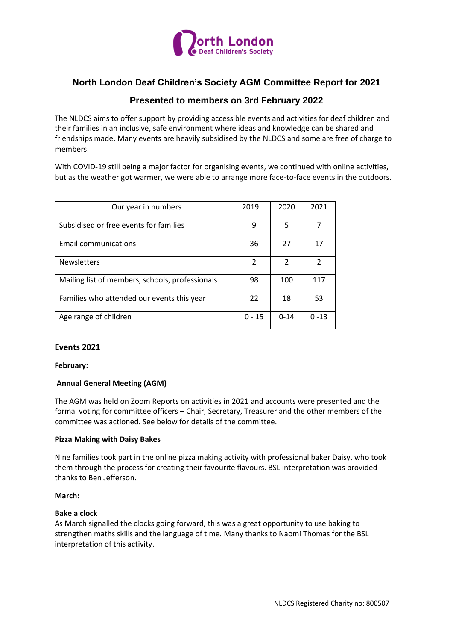

# **North London Deaf Children's Society AGM Committee Report for 2021**

# **Presented to members on 3rd February 2022**

The NLDCS aims to offer support by providing accessible events and activities for deaf children and their families in an inclusive, safe environment where ideas and knowledge can be shared and friendships made. Many events are heavily subsidised by the NLDCS and some are free of charge to members.

With COVID-19 still being a major factor for organising events, we continued with online activities, but as the weather got warmer, we were able to arrange more face-to-face events in the outdoors.

| Our year in numbers                             | 2019           | 2020           | 2021     |
|-------------------------------------------------|----------------|----------------|----------|
| Subsidised or free events for families          | 9              | 5              |          |
| <b>Email communications</b>                     | 36             | 27             | 17       |
| <b>Newsletters</b>                              | $\mathfrak{p}$ | $\mathfrak{p}$ | 2        |
| Mailing list of members, schools, professionals | 98             | 100            | 117      |
| Families who attended our events this year      | 22             | 18             | 53       |
| Age range of children                           | $0 - 15$       | $0 - 14$       | $0 - 13$ |

## **Events 2021**

### **February:**

## **Annual General Meeting (AGM)**

The AGM was held on Zoom Reports on activities in 2021 and accounts were presented and the formal voting for committee officers – Chair, Secretary, Treasurer and the other members of the committee was actioned. See below for details of the committee.

### **Pizza Making with Daisy Bakes**

Nine families took part in the online pizza making activity with professional baker Daisy, who took them through the process for creating their favourite flavours. BSL interpretation was provided thanks to Ben Jefferson.

### **March:**

### **Bake a clock**

As March signalled the clocks going forward, this was a great opportunity to use baking to strengthen maths skills and the language of time. Many thanks to Naomi Thomas for the BSL interpretation of this activity.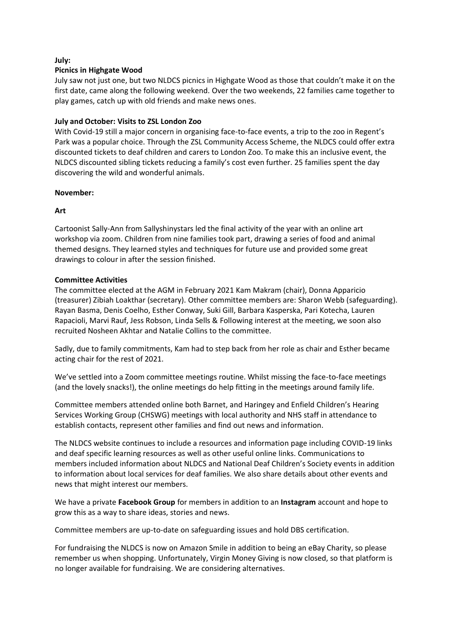## **July:**

# **Picnics in Highgate Wood**

July saw not just one, but two NLDCS picnics in Highgate Wood as those that couldn't make it on the first date, came along the following weekend. Over the two weekends, 22 families came together to play games, catch up with old friends and make news ones.

# **July and October: Visits to ZSL London Zoo**

With Covid-19 still a major concern in organising face-to-face events, a trip to the zoo in Regent's Park was a popular choice. Through the ZSL Community Access Scheme, the NLDCS could offer extra discounted tickets to deaf children and carers to London Zoo. To make this an inclusive event, the NLDCS discounted sibling tickets reducing a family's cost even further. 25 families spent the day discovering the wild and wonderful animals.

# **November:**

# **Art**

Cartoonist Sally-Ann from Sallyshinystars led the final activity of the year with an online art workshop via zoom. Children from nine families took part, drawing a series of food and animal themed designs. They learned styles and techniques for future use and provided some great drawings to colour in after the session finished.

# **Committee Activities**

The committee elected at the AGM in February 2021 Kam Makram (chair), Donna Apparicio (treasurer) Zibiah Loakthar (secretary). Other committee members are: Sharon Webb (safeguarding). Rayan Basma, Denis Coelho, Esther Conway, Suki Gill, Barbara Kasperska, Pari Kotecha, Lauren Rapacioli, Marvi Rauf, Jess Robson, Linda Sells & Following interest at the meeting, we soon also recruited Nosheen Akhtar and Natalie Collins to the committee.

Sadly, due to family commitments, Kam had to step back from her role as chair and Esther became acting chair for the rest of 2021.

We've settled into a Zoom committee meetings routine. Whilst missing the face-to-face meetings (and the lovely snacks!), the online meetings do help fitting in the meetings around family life.

Committee members attended online both Barnet, and Haringey and Enfield Children's Hearing Services Working Group (CHSWG) meetings with local authority and NHS staff in attendance to establish contacts, represent other families and find out news and information.

The NLDCS website continues to include a resources and information page including COVID-19 links and deaf specific learning resources as well as other useful online links. Communications to members included information about NLDCS and National Deaf Children's Society events in addition to information about local services for deaf families. We also share details about other events and news that might interest our members.

We have a private **Facebook Group** for members in addition to an **Instagram** account and hope to grow this as a way to share ideas, stories and news.

Committee members are up-to-date on safeguarding issues and hold DBS certification.

For fundraising the NLDCS is now on Amazon Smile in addition to being an eBay Charity, so please remember us when shopping. Unfortunately, Virgin Money Giving is now closed, so that platform is no longer available for fundraising. We are considering alternatives.